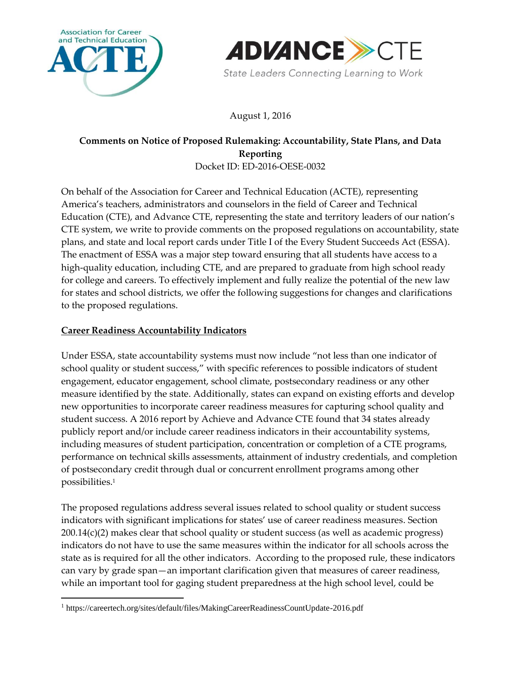



August 1, 2016

## **Comments on Notice of Proposed Rulemaking: Accountability, State Plans, and Data Reporting** Docket ID: ED-2016-OESE-0032

On behalf of the Association for Career and Technical Education (ACTE), representing America's teachers, administrators and counselors in the field of Career and Technical Education (CTE), and Advance CTE, representing the state and territory leaders of our nation's CTE system, we write to provide comments on the proposed regulations on accountability, state plans, and state and local report cards under Title I of the Every Student Succeeds Act (ESSA). The enactment of ESSA was a major step toward ensuring that all students have access to a high-quality education, including CTE, and are prepared to graduate from high school ready for college and careers. To effectively implement and fully realize the potential of the new law for states and school districts, we offer the following suggestions for changes and clarifications to the proposed regulations.

## **Career Readiness Accountability Indicators**

 $\overline{a}$ 

Under ESSA, state accountability systems must now include "not less than one indicator of school quality or student success," with specific references to possible indicators of student engagement, educator engagement, school climate, postsecondary readiness or any other measure identified by the state. Additionally, states can expand on existing efforts and develop new opportunities to incorporate career readiness measures for capturing school quality and student success. A 2016 report by Achieve and Advance CTE found that 34 states already publicly report and/or include career readiness indicators in their accountability systems, including measures of student participation, concentration or completion of a CTE programs, performance on technical skills assessments, attainment of industry credentials, and completion of postsecondary credit through dual or concurrent enrollment programs among other possibilities.<sup>1</sup>

The proposed regulations address several issues related to school quality or student success indicators with significant implications for states' use of career readiness measures. Section 200.14(c)(2) makes clear that school quality or student success (as well as academic progress) indicators do not have to use the same measures within the indicator for all schools across the state as is required for all the other indicators. According to the proposed rule, these indicators can vary by grade span—an important clarification given that measures of career readiness, while an important tool for gaging student preparedness at the high school level, could be

<sup>1</sup> https://careertech.org/sites/default/files/MakingCareerReadinessCountUpdate-2016.pdf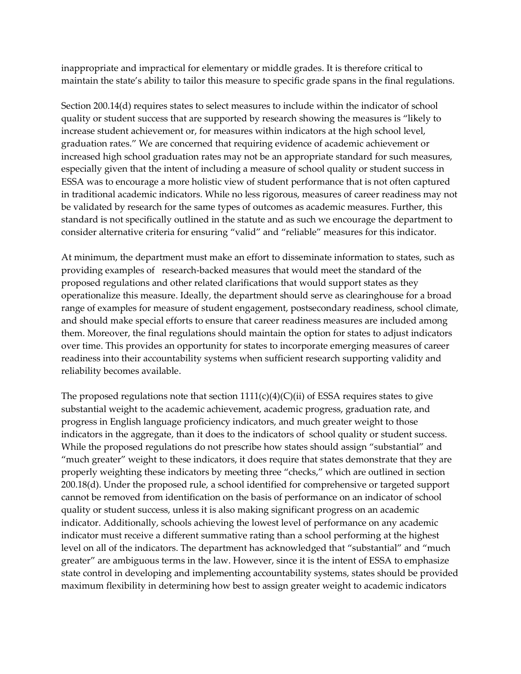inappropriate and impractical for elementary or middle grades. It is therefore critical to maintain the state's ability to tailor this measure to specific grade spans in the final regulations.

Section 200.14(d) requires states to select measures to include within the indicator of school quality or student success that are supported by research showing the measures is "likely to increase student achievement or, for measures within indicators at the high school level, graduation rates." We are concerned that requiring evidence of academic achievement or increased high school graduation rates may not be an appropriate standard for such measures, especially given that the intent of including a measure of school quality or student success in ESSA was to encourage a more holistic view of student performance that is not often captured in traditional academic indicators. While no less rigorous, measures of career readiness may not be validated by research for the same types of outcomes as academic measures. Further, this standard is not specifically outlined in the statute and as such we encourage the department to consider alternative criteria for ensuring "valid" and "reliable" measures for this indicator.

At minimum, the department must make an effort to disseminate information to states, such as providing examples of research-backed measures that would meet the standard of the proposed regulations and other related clarifications that would support states as they operationalize this measure. Ideally, the department should serve as clearinghouse for a broad range of examples for measure of student engagement, postsecondary readiness, school climate, and should make special efforts to ensure that career readiness measures are included among them. Moreover, the final regulations should maintain the option for states to adjust indicators over time. This provides an opportunity for states to incorporate emerging measures of career readiness into their accountability systems when sufficient research supporting validity and reliability becomes available.

The proposed regulations note that section  $1111(c)(4)(C(ii)$  of ESSA requires states to give substantial weight to the academic achievement, academic progress, graduation rate, and progress in English language proficiency indicators, and much greater weight to those indicators in the aggregate, than it does to the indicators of school quality or student success. While the proposed regulations do not prescribe how states should assign "substantial" and "much greater" weight to these indicators, it does require that states demonstrate that they are properly weighting these indicators by meeting three "checks," which are outlined in section 200.18(d). Under the proposed rule, a school identified for comprehensive or targeted support cannot be removed from identification on the basis of performance on an indicator of school quality or student success, unless it is also making significant progress on an academic indicator. Additionally, schools achieving the lowest level of performance on any academic indicator must receive a different summative rating than a school performing at the highest level on all of the indicators. The department has acknowledged that "substantial" and "much greater" are ambiguous terms in the law. However, since it is the intent of ESSA to emphasize state control in developing and implementing accountability systems, states should be provided maximum flexibility in determining how best to assign greater weight to academic indicators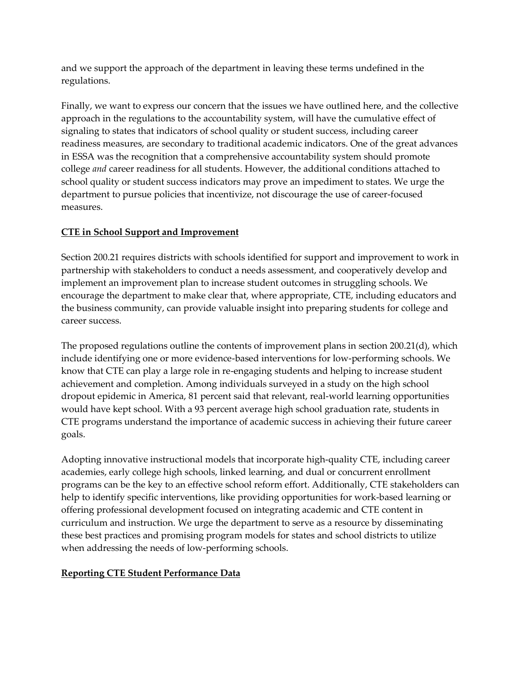and we support the approach of the department in leaving these terms undefined in the regulations.

Finally, we want to express our concern that the issues we have outlined here, and the collective approach in the regulations to the accountability system, will have the cumulative effect of signaling to states that indicators of school quality or student success, including career readiness measures, are secondary to traditional academic indicators. One of the great advances in ESSA was the recognition that a comprehensive accountability system should promote college *and* career readiness for all students. However, the additional conditions attached to school quality or student success indicators may prove an impediment to states. We urge the department to pursue policies that incentivize, not discourage the use of career-focused measures.

## **CTE in School Support and Improvement**

Section 200.21 requires districts with schools identified for support and improvement to work in partnership with stakeholders to conduct a needs assessment, and cooperatively develop and implement an improvement plan to increase student outcomes in struggling schools. We encourage the department to make clear that, where appropriate, CTE, including educators and the business community, can provide valuable insight into preparing students for college and career success.

The proposed regulations outline the contents of improvement plans in section 200.21(d), which include identifying one or more evidence-based interventions for low-performing schools. We know that CTE can play a large role in re-engaging students and helping to increase student achievement and completion. Among individuals surveyed in a study on the high school dropout epidemic in America, 81 percent said that relevant, real-world learning opportunities would have kept school. With a 93 percent average high school graduation rate, students in CTE programs understand the importance of academic success in achieving their future career goals.

Adopting innovative instructional models that incorporate high-quality CTE, including career academies, early college high schools, linked learning, and dual or concurrent enrollment programs can be the key to an effective school reform effort. Additionally, CTE stakeholders can help to identify specific interventions, like providing opportunities for work-based learning or offering professional development focused on integrating academic and CTE content in curriculum and instruction. We urge the department to serve as a resource by disseminating these best practices and promising program models for states and school districts to utilize when addressing the needs of low-performing schools.

## **Reporting CTE Student Performance Data**